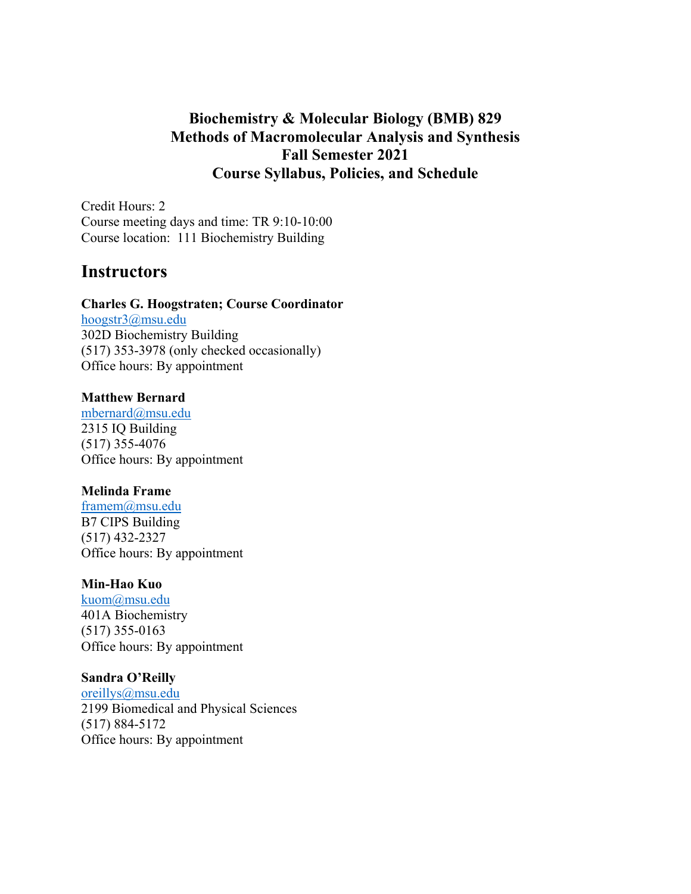# **Biochemistry & Molecular Biology (BMB) 829 Methods of Macromolecular Analysis and Synthesis Fall Semester 2021 Course Syllabus, Policies, and Schedule**

Credit Hours: 2 Course meeting days and time: TR 9:10-10:00 Course location: 111 Biochemistry Building

# **Instructors**

#### **Charles G. Hoogstraten; Course Coordinator**

hoogstr3@msu.edu 302D Biochemistry Building (517) 353-3978 (only checked occasionally) Office hours: By appointment

#### **Matthew Bernard**

mbernard@msu.edu 2315 IQ Building (517) 355-4076 Office hours: By appointment

### **Melinda Frame**

framem@msu.edu B7 CIPS Building (517) 432-2327 Office hours: By appointment

#### **Min-Hao Kuo**

kuom@msu.edu 401A Biochemistry (517) 355-0163 Office hours: By appointment

#### **Sandra O'Reilly**

oreillys@msu.edu 2199 Biomedical and Physical Sciences (517) 884-5172 Office hours: By appointment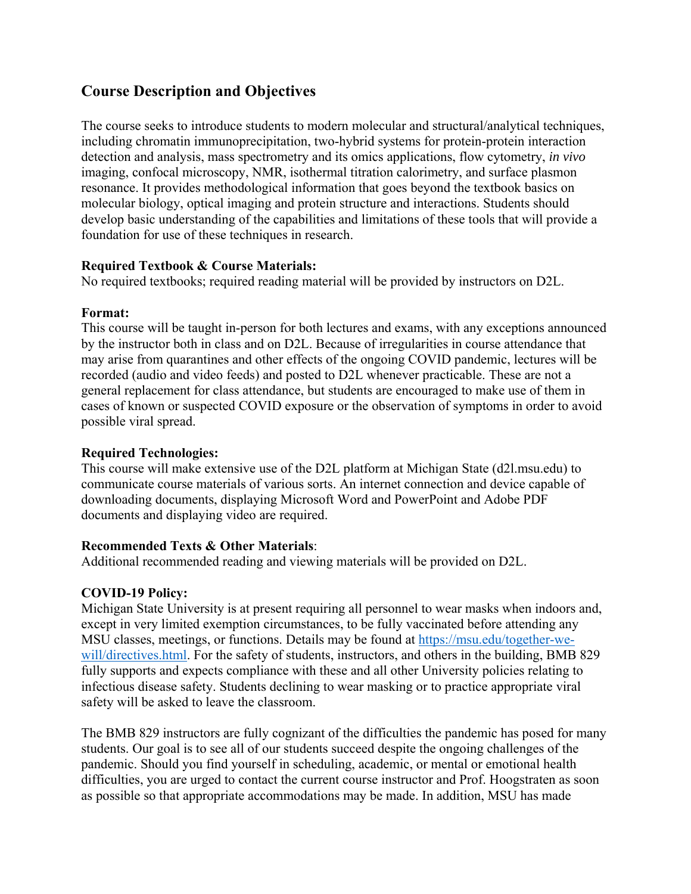# **Course Description and Objectives**

The course seeks to introduce students to modern molecular and structural/analytical techniques, including chromatin immunoprecipitation, two-hybrid systems for protein-protein interaction detection and analysis, mass spectrometry and its omics applications, flow cytometry, *in vivo*  imaging, confocal microscopy, NMR, isothermal titration calorimetry, and surface plasmon resonance. It provides methodological information that goes beyond the textbook basics on molecular biology, optical imaging and protein structure and interactions. Students should develop basic understanding of the capabilities and limitations of these tools that will provide a foundation for use of these techniques in research.

# **Required Textbook & Course Materials:**

No required textbooks; required reading material will be provided by instructors on D2L.

## **Format:**

This course will be taught in-person for both lectures and exams, with any exceptions announced by the instructor both in class and on D2L. Because of irregularities in course attendance that may arise from quarantines and other effects of the ongoing COVID pandemic, lectures will be recorded (audio and video feeds) and posted to D2L whenever practicable. These are not a general replacement for class attendance, but students are encouraged to make use of them in cases of known or suspected COVID exposure or the observation of symptoms in order to avoid possible viral spread.

# **Required Technologies:**

This course will make extensive use of the D2L platform at Michigan State (d2l.msu.edu) to communicate course materials of various sorts. An internet connection and device capable of downloading documents, displaying Microsoft Word and PowerPoint and Adobe PDF documents and displaying video are required.

# **Recommended Texts & Other Materials**:

Additional recommended reading and viewing materials will be provided on D2L.

# **COVID-19 Policy:**

Michigan State University is at present requiring all personnel to wear masks when indoors and, except in very limited exemption circumstances, to be fully vaccinated before attending any MSU classes, meetings, or functions. Details may be found at https://msu.edu/together-wewill/directives.html. For the safety of students, instructors, and others in the building, BMB 829 fully supports and expects compliance with these and all other University policies relating to infectious disease safety. Students declining to wear masking or to practice appropriate viral safety will be asked to leave the classroom.

The BMB 829 instructors are fully cognizant of the difficulties the pandemic has posed for many students. Our goal is to see all of our students succeed despite the ongoing challenges of the pandemic. Should you find yourself in scheduling, academic, or mental or emotional health difficulties, you are urged to contact the current course instructor and Prof. Hoogstraten as soon as possible so that appropriate accommodations may be made. In addition, MSU has made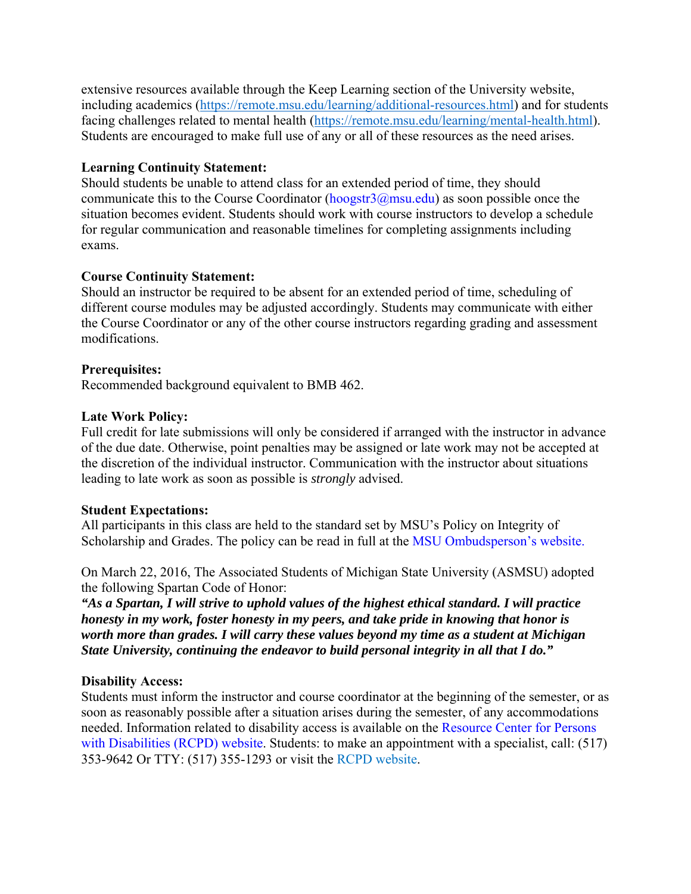extensive resources available through the Keep Learning section of the University website, including academics (https://remote.msu.edu/learning/additional-resources.html) and for students facing challenges related to mental health (https://remote.msu.edu/learning/mental-health.html). Students are encouraged to make full use of any or all of these resources as the need arises.

## **Learning Continuity Statement:**

Should students be unable to attend class for an extended period of time, they should communicate this to the Course Coordinator ( $\frac{\text{hoogstr3}(a)}{\text{msu.edu}}$ ) as soon possible once the situation becomes evident. Students should work with course instructors to develop a schedule for regular communication and reasonable timelines for completing assignments including exams.

# **Course Continuity Statement:**

Should an instructor be required to be absent for an extended period of time, scheduling of different course modules may be adjusted accordingly. Students may communicate with either the Course Coordinator or any of the other course instructors regarding grading and assessment modifications.

## **Prerequisites:**

Recommended background equivalent to BMB 462.

## **Late Work Policy:**

Full credit for late submissions will only be considered if arranged with the instructor in advance of the due date. Otherwise, point penalties may be assigned or late work may not be accepted at the discretion of the individual instructor. Communication with the instructor about situations leading to late work as soon as possible is *strongly* advised.

#### **Student Expectations:**

All participants in this class are held to the standard set by MSU's Policy on Integrity of Scholarship and Grades. The policy can be read in full at the MSU Ombudsperson's website.

On March 22, 2016, The Associated Students of Michigan State University (ASMSU) adopted the following Spartan Code of Honor:

*"As a Spartan, I will strive to uphold values of the highest ethical standard. I will practice honesty in my work, foster honesty in my peers, and take pride in knowing that honor is worth more than grades. I will carry these values beyond my time as a student at Michigan State University, continuing the endeavor to build personal integrity in all that I do."* 

# **Disability Access:**

Students must inform the instructor and course coordinator at the beginning of the semester, or as soon as reasonably possible after a situation arises during the semester, of any accommodations needed. Information related to disability access is available on the Resource Center for Persons with Disabilities (RCPD) website. Students: to make an appointment with a specialist, call: (517) 353-9642 Or TTY: (517) 355-1293 or visit the RCPD website.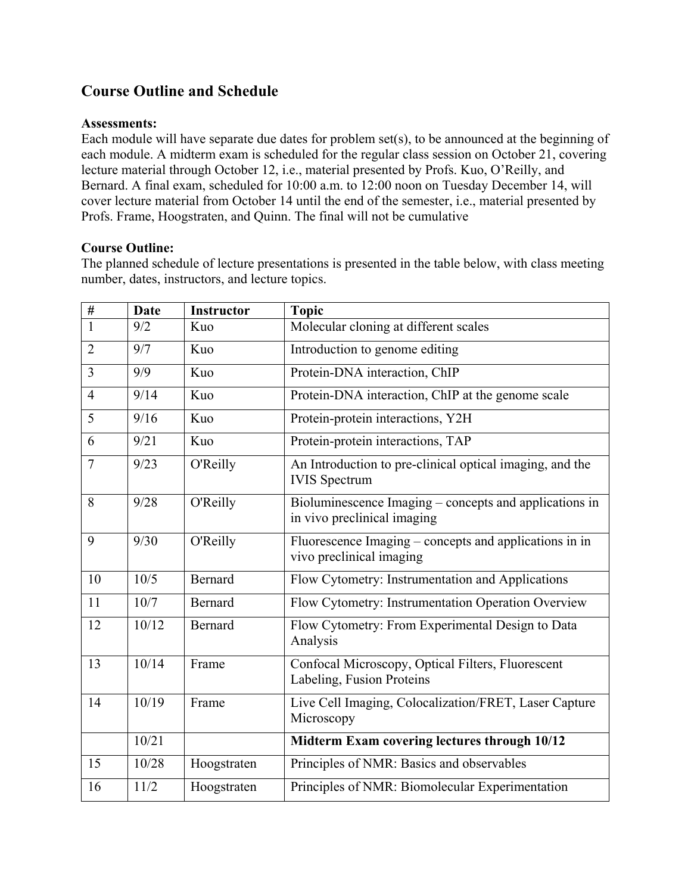# **Course Outline and Schedule**

#### **Assessments:**

Each module will have separate due dates for problem set(s), to be announced at the beginning of each module. A midterm exam is scheduled for the regular class session on October 21, covering lecture material through October 12, i.e., material presented by Profs. Kuo, O'Reilly, and Bernard. A final exam, scheduled for 10:00 a.m. to 12:00 noon on Tuesday December 14, will cover lecture material from October 14 until the end of the semester, i.e., material presented by Profs. Frame, Hoogstraten, and Quinn. The final will not be cumulative

## **Course Outline:**

The planned schedule of lecture presentations is presented in the table below, with class meeting number, dates, instructors, and lecture topics.

| $\overline{\#}$ | <b>Date</b> | <b>Instructor</b> | <b>Topic</b>                                                                          |
|-----------------|-------------|-------------------|---------------------------------------------------------------------------------------|
| $\mathbf{1}$    | 9/2         | Kuo               | Molecular cloning at different scales                                                 |
| $\overline{2}$  | 9/7         | Kuo               | Introduction to genome editing                                                        |
| $\overline{3}$  | 9/9         | Kuo               | Protein-DNA interaction, ChIP                                                         |
| $\overline{4}$  | 9/14        | Kuo               | Protein-DNA interaction, ChIP at the genome scale                                     |
| 5               | 9/16        | Kuo               | Protein-protein interactions, Y2H                                                     |
| 6               | 9/21        | Kuo               | Protein-protein interactions, TAP                                                     |
| $\overline{7}$  | 9/23        | O'Reilly          | An Introduction to pre-clinical optical imaging, and the<br><b>IVIS</b> Spectrum      |
| 8               | 9/28        | O'Reilly          | Bioluminescence Imaging - concepts and applications in<br>in vivo preclinical imaging |
| 9               | 9/30        | O'Reilly          | Fluorescence Imaging – concepts and applications in in<br>vivo preclinical imaging    |
| 10              | 10/5        | Bernard           | Flow Cytometry: Instrumentation and Applications                                      |
| 11              | 10/7        | <b>Bernard</b>    | Flow Cytometry: Instrumentation Operation Overview                                    |
| 12              | 10/12       | <b>Bernard</b>    | Flow Cytometry: From Experimental Design to Data<br>Analysis                          |
| 13              | 10/14       | Frame             | Confocal Microscopy, Optical Filters, Fluorescent<br>Labeling, Fusion Proteins        |
| 14              | 10/19       | Frame             | Live Cell Imaging, Colocalization/FRET, Laser Capture<br>Microscopy                   |
|                 | 10/21       |                   | Midterm Exam covering lectures through 10/12                                          |
| 15              | 10/28       | Hoogstraten       | Principles of NMR: Basics and observables                                             |
| 16              | 11/2        | Hoogstraten       | Principles of NMR: Biomolecular Experimentation                                       |